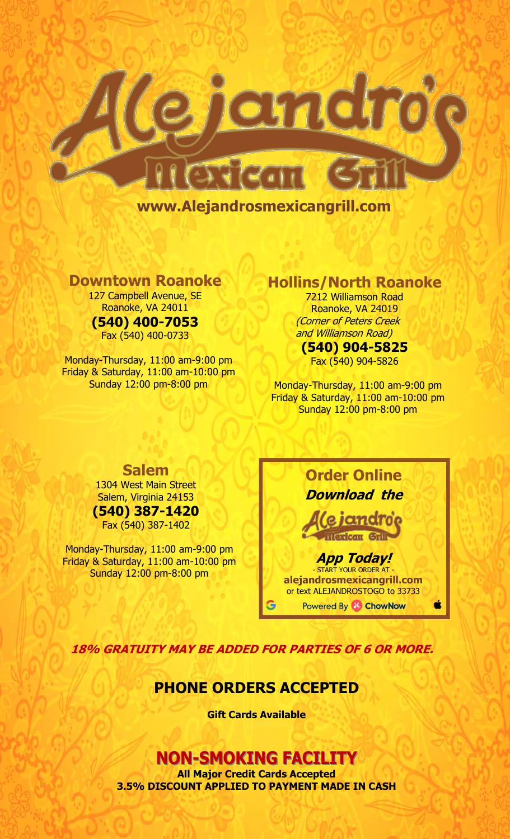

**www.Alejandrosmexicangrill.com** 

**Downtown Roanoke** 

127 Campbell Avenue, SE Roanoke, VA 24011 **(540) 400-7053**

Fax (540) 400-0733

Monday-Thursday, 11:00 am-9:00 pm Friday & Saturday, 11:00 am-10:00 pm Sunday 12:00 pm-8:00 pm

# **Hollins/North Roanoke**

7212 Williamson Road Roanoke, VA 24019 (Corner of Peters Creek and Williamson Road)

# **(540) 904-5825**

Fax (540) 904-5826

Monday-Thursday, 11:00 am-9:00 pm Friday & Saturday, 11:00 am-10:00 pm Sunday 12:00 pm-8:00 pm

# **Salem**

1304 West Main Street Salem, Virginia 24153 **(540) 387-1420**

Fax (540) 387-1402

Monday-Thursday, 11:00 am-9:00 pm Friday & Saturday, 11:00 am-10:00 pm Sunday 12:00 pm-8:00 pm

# **Order Online Download the**

# **ICITICIT HIGHEAN** Gill

# **App Today!**

- START YOUR ORDER AT **alejandrosmexicangrill.com**  or text ALEJANDROSTOGO to 33733

Powered By & ChowNow

**18% GRATUITY MAY BE ADDED FOR PARTIES OF 6 OR MORE.**

# **PHONE ORDERS ACCEPTED**

**Gift Cards Available** 

# **NON-SMOKING FACILITY**

**All Major Credit Cards Accepted 3.5% DISCOUNT APPLIED TO PAYMENT MADE IN CASH**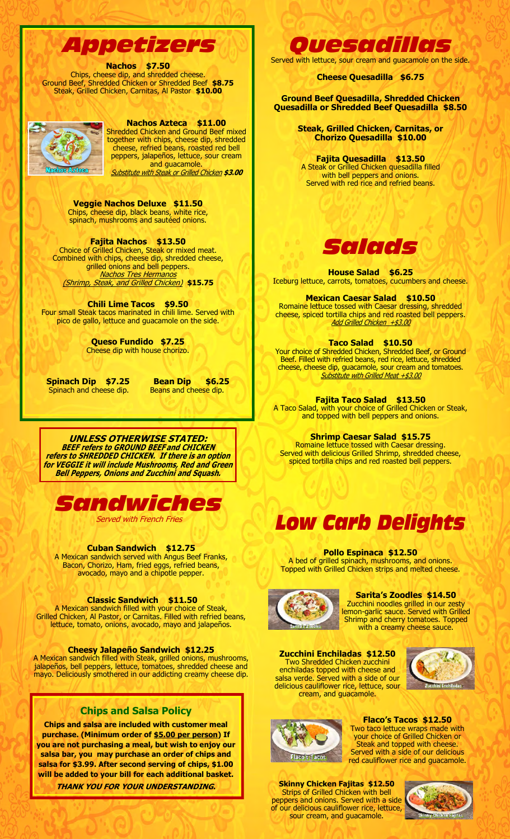# *Appetizers*

#### **Nachos \$7.50**

Chips, cheese dip, and shredded cheese. Ground Beef, Shredded Chicken or Shredded Beef **\$8.75** Steak, Grilled Chicken, Carnitas, Al Pastor **\$10.00** 



#### **Nachos Azteca \$11.00**

Shredded Chicken and Ground Beef mixed together with chips, cheese dip, shredded cheese, refried beans, roasted red bell peppers, jalapeños, lettuce, sour cream and guacamole.

Substitute with Steak or Grilled Chicken **\$3.00**

**Veggie Nachos Deluxe \$11.50**  Chips, cheese dip, black beans, white rice, spinach, mushrooms and sautéed onions.

# **Fajita Nachos \$13.50**

Choice of Grilled Chicken, Steak or mixed meat. Combined with chips, cheese dip, shredded cheese, grilled onions and bell peppers. **Nachos Tres Hermanos** (Shrimp, Steak, and Grilled Chicken) **\$15.75**

**Chili Lime Tacos \$9.50**  Four small Steak tacos marinated in chili lime. Served with pico de gallo, lettuce and guacamole on the side.

> **Queso Fundido \$7.25**  Cheese dip with house chorizo.

**Spinach Dip \$7.25 Bean Dip \$6.25**  Spinach and cheese dip. Beans and cheese dip.

**UNLESS OTHERWISE STATED: BEEF refers to GROUND BEEF and CHICKEN refers to SHREDDED CHICKEN. If there is an option for VEGGIE it will include Mushrooms, Red and Green Bell Peppers, Onions and Zucchini and Squash.** 



**Served with French Fries** 

**Cuban Sandwich \$12.75** 

A Mexican sandwich served with Angus Beef Franks, Bacon, Chorizo, Ham, fried eggs, refried beans, avocado, mayo and a chipotle pepper.

#### **Classic Sandwich \$11.50**

A Mexican sandwich filled with your choice of Steak, Grilled Chicken, Al Pastor, or Carnitas. Filled with refried beans, lettuce, tomato, onions, avocado, mayo and jalapeños.

**Cheesy Jalapeño Sandwich \$12.25** 

A Mexican sandwich filled with Steak, grilled onions, mushrooms, jalapeños, bell peppers, lettuce, tomatoes, shredded cheese and mayo. Deliciously smothered in our addicting creamy cheese dip.

## **Chips and Salsa Policy**

**Chips and salsa are included with customer meal purchase. (Minimum order of \$5.00 per person) If you are not purchasing a meal, but wish to enjoy our salsa bar, you may purchase an order of chips and salsa for \$3.99. After second serving of chips, \$1.00 will be added to your bill for each additional basket. THANK YOU FOR YOUR UNDERSTANDING.**

# *Quesadillas*

Served with lettuce, sour cream and guacamole on the side.

## **Cheese Quesadilla \$6.75**

**Ground Beef Quesadilla, Shredded Chicken Quesadilla or Shredded Beef Quesadilla \$8.50** 

> **Steak, Grilled Chicken, Carnitas, or Chorizo Quesadilla \$10.00**

**Fajita Quesadilla \$13.50**  A Steak or Grilled Chicken quesadilla filled with bell peppers and onions. Served with red rice and refried beans.



**House Salad \$6.25**  Iceburg lettuce, carrots, tomatoes, cucumbers and cheese.

#### **Mexican Caesar Salad \$10.50**

Romaine lettuce tossed with Caesar dressing, shredded cheese, spiced tortilla chips and red roasted bell peppers. Add Grilled Chicken +\$3.00

## **Taco Salad \$10.50**

Your choice of Shredded Chicken, Shredded Beef, or Ground Beef. Filled with refried beans, red rice, lettuce, shredded cheese, cheese dip, guacamole, sour cream and tomatoes. Substitute with Grilled Meat +\$3.00

## **Fajita Taco Salad \$13.50**

A Taco Salad, with your choice of Grilled Chicken or Steak, and topped with bell peppers and onions.

#### **Shrimp Caesar Salad \$15.75**

Romaine lettuce tossed with Caesar dressing. Served with delicious Grilled Shrimp, shredded cheese, spiced tortilla chips and red roasted bell peppers.



#### **Pollo Espinaca \$12.50**

A bed of grilled spinach, mushrooms, and onions. Topped with Grilled Chicken strips and melted cheese.



#### **Sarita's Zoodles \$14.50**

Zucchini noodles grilled in our zesty lemon-garlic sauce. Served with Grilled Shrimp and cherry tomatoes. Topped with a creamy cheese sauce.

**Zucchini Enchiladas \$12.50**  Two Shredded Chicken zucchini enchiladas topped with cheese and salsa verde. Served with a side of our delicious cauliflower rice, lettuce, sour cream, and guacamole.





**Flaco's Tacos \$12.50**  Two taco lettuce wraps made with your choice of Grilled Chicken or Steak and topped with cheese. Served with a side of our delicious red cauliflower rice and guacamole.

**Skinny Chicken Fajitas \$12.50**  Strips of Grilled Chicken with bell peppers and onions. Served with a side of our delicious cauliflower rice, lettuce, sour cream, and guacamole.

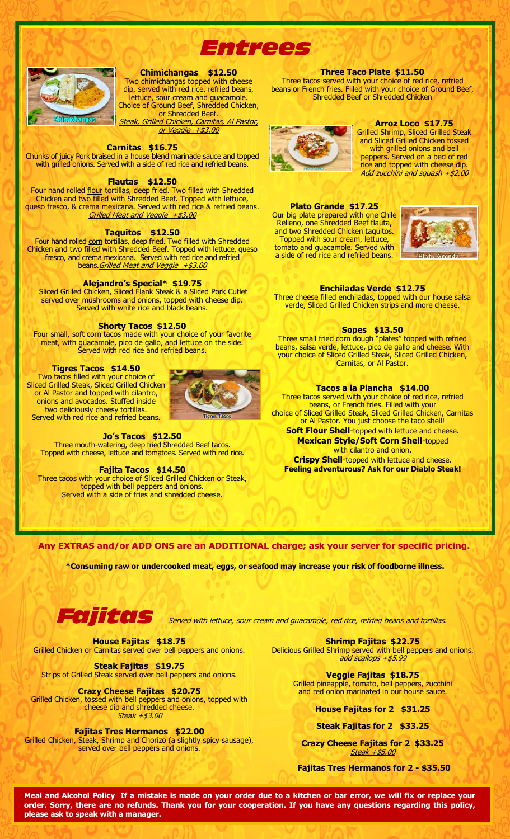



**Chimichangas \$12.50** 

Two chimichangas topped with cheese dip, served with red rice, refried beans, lettuce, sour cream and guacamole. Choice of Ground Beef, Shredded Chicken, or Shredded Beef. Steak, Grilled Chicken, Carnitas, Al Pastor,

or Veggie +\$3.00

#### **Carnitas \$16.75**

Chunks of juicy Pork braised in a house blend marinade sauce and topped with grilled onions. Served with a side of red rice and refried beans.

#### **Flautas \$12.50**

Four hand rolled flour tortillas, deep fried. Two filled with Shredded Chicken and two filled with Shredded Beef. Topped with lettuce, queso fresco, & crema mexicana. Served with red rice & refried beans. Grilled Meat and Veggie +\$3.00

#### **Taquitos \$12.50**

Four hand rolled corn tortillas, deep fried. Two filled with Shredded Chicken and two filled with Shredded Beef. Topped with lettuce, queso fresco, and crema mexicana. Served with red rice and refried beans. *Grilled Meat and Veggie +\$3.00* 

#### **Alejandro's Special\* \$19.75**

 Sliced Grilled Chicken, Sliced Flank Steak & a Sliced Pork Cutlet served over mushrooms and onions, topped with cheese dip. Served with white rice and black beans.

#### **Shorty Tacos \$12.50**

Four small, soft corn tacos made with your choice of your favorite meat, with guacamole, pico de gallo, and lettuce on the side. Served with red rice and refried beans.

#### **Tigres Tacos \$14.50**

Two tacos filled with your choice of Sliced Grilled Steak, Sliced Grilled Chicken or Al Pastor and topped with cilantro, onions and avocados. Stuffed inside two deliciously cheesy tortillas. Served with red rice and refried beans.



#### **Jo's Tacos \$12.50**

Three mouth-watering, deep fried Shredded Beef tacos. Topped with cheese, lettuce and tomatoes. Served with red rice.

#### **Fajita Tacos \$14.50**

Three tacos with your choice of Sliced Grilled Chicken or Steak, topped with bell peppers and onions. Served with a side of fries and shredded cheese.

#### **Three Taco Plate \$11.50**

Three tacos served with your choice of red rice, refried beans or French fries. Filled with your choice of Ground Beef, Shredded Beef or Shredded Chicken



#### **Arroz Loco \$17.75**

Grilled Shrimp, Sliced Grilled Steak and Sliced Grilled Chicken tossed with grilled onions and bell peppers. Served on a bed of red rice and topped with cheese dip. Add zucchini and squash +\$2.00

**Plato Grande \$17.25**  Our big plate prepared with one Chile Relleno, one Shredded Beef flauta, and two Shredded Chicken taquitos. Topped with sour cream, lettuce, tomato and guacamole. Served with a side of red rice and refried beans.



#### **Enchiladas Verde \$12.75**

Three cheese filled enchiladas, topped with our house salsa verde, Sliced Grilled Chicken strips and more cheese.

#### **Sopes \$13.50**

Three small fried corn dough "plates" topped with refried beans, salsa verde, lettuce, pico de gallo and cheese. With your choice of Sliced Grilled Steak, Sliced Grilled Chicken, Carnitas, or Al Pastor.

#### **Tacos a la Plancha \$14.00**

Three tacos served with your choice of red rice, refried beans, or French fries. Filled with your choice of Sliced Grilled Steak, Sliced Grilled Chicken, Carnitas or Al Pastor. You just choose the taco shell! **Soft Flour Shell-topped with lettuce and cheese.** 

**Mexican Style/Soft Corn Shell**-topped with cilantro and onion. **Crispy Shell**-topped with lettuce and cheese.

**Feeling adventurous? Ask for our Diablo Steak!** 

#### **Any EXTRAS and/or ADD ONS are an ADDITIONAL charge; ask your server for specific pricing.**

**\*Consuming raw or undercooked meat, eggs, or seafood may increase your risk of foodborne illness.** 



**CIJITCOLS** Served with lettuce, sour cream and guacamole, red rice, refried beans and tortillas.

**House Fajitas \$18.75**  Grilled Chicken or Carnitas served over bell peppers and onions.

**Steak Fajitas \$19.75**  Strips of Grilled Steak served over bell peppers and onions.

**Crazy Cheese Fajitas \$20.75**  Grilled Chicken, tossed with bell peppers and onions, topped with cheese dip and shredded cheese. Steak +\$3.00

**Fajitas Tres Hermanos \$22.00**  Grilled Chicken, Steak, Shrimp and Chorizo (a slightly spicy sausage), served over bell peppers and onions.

**Shrimp Fajitas \$22.75** Delicious Grilled Shrimp served with bell peppers and onions. add scallops +\$5.99

> **Veggie Fajitas \$18.75** Grilled pineapple, tomato, bell peppers, zucchini and red onion marinated in our house sauce.

> > **House Fajitas for 2 \$31.25**

**Steak Fajitas for 2 \$33.25** 

**Crazy Cheese Fajitas for 2 \$33.25**  Steak +\$5.00

**Fajitas Tres Hermanos for 2 - \$35.50** 

**Meal and Alcohol Policy If a mistake is made on your order due to a kitchen or bar error, we will fix or replace your order. Sorry, there are no refunds. Thank you for your cooperation. If you have any questions regarding this policy, please ask to speak with a manager.**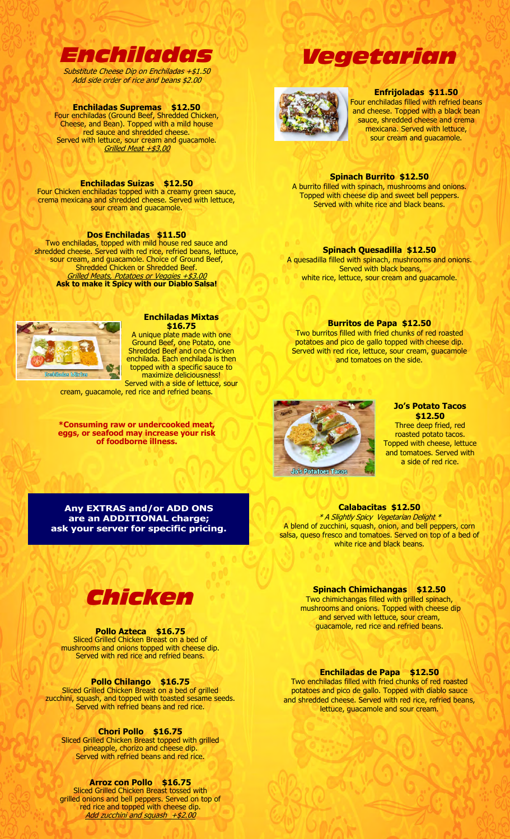

Substitute Cheese Dip on Enchiladas +\$1.50 Add side order of rice and beans \$2.00

# **Enchiladas Supremas \$12.50**

Four enchiladas (Ground Beef, Shredded Chicken, Cheese, and Bean). Topped with a mild house red sauce and shredded cheese. Served with lettuce, sour cream and guacamole. Grilled Meat +\$3.00

## **Enchiladas Suizas \$12.50**

Four Chicken enchiladas topped with a creamy green sauce, crema mexicana and shredded cheese. Served with lettuce, sour cream and guacamole.

## **Dos Enchiladas \$11.50**

Two enchiladas, topped with mild house red sauce and shredded cheese. Served with red rice, refried beans, lettuce, sour cream, and guacamole. Choice of Ground Beef, Shredded Chicken or Shredded Beef. Grilled Meats, Potatoes or Veggies +\$3.00 **Ask to make it Spicy with our Diablo Salsa!** 



# **Enchiladas Mixtas**

**\$16.75**  A unique plate made with one Ground Beef, one Potato, one Shredded Beef and one Chicken enchilada. Each enchilada is then topped with a specific sauce to maximize deliciousness! Served with a side of lettuce, sour

cream, guacamole, red rice and refried beans.

**\*Consuming raw or undercooked meat, eggs, or seafood may increase your risk of foodborne illness.** 

#### **Enfrijoladas \$11.50**

Four enchiladas filled with refried beans and cheese. Topped with a black bean sauce, shredded cheese and crema mexicana. Served with lettuce, sour cream and guacamole.

#### **Spinach Burrito \$12.50**

*Vegetarian* 

A burrito filled with spinach, mushrooms and onions. Topped with cheese dip and sweet bell peppers. Served with white rice and black beans.

#### **Spinach Quesadilla \$12.50**

A quesadilla filled with spinach, mushrooms and onions. Served with black beans, white rice, lettuce, sour cream and guacamole.

#### **Burritos de Papa \$12.50**

Two burritos filled with fried chunks of red roasted potatoes and pico de gallo topped with cheese dip. Served with red rice, lettuce, sour cream, guacamole and tomatoes on the side.



#### **Jo's Potato Tacos \$12.50**

Three deep fried, red roasted potato tacos. Topped with cheese, lettuce and tomatoes. Served with a side of red rice.

**Any EXTRAS and/or ADD ONS are an ADDITIONAL charge; ask your server for specific pricing.** 

# **Spinach Chimichangas \$12.50**

**Calabacitas \$12.50**  \* A Slightly Spicy Vegetarian Delight \* A blend of zucchini, squash, onion, and bell peppers, corn salsa, queso fresco and tomatoes. Served on top of a bed of white rice and black beans.

> Two chimichangas filled with grilled spinach, mushrooms and onions. Topped with cheese dip and served with lettuce, sour cream, guacamole, red rice and refried beans.

#### **Enchiladas de Papa \$12.50**

Two enchiladas filled with fried chunks of red roasted potatoes and pico de gallo. Topped with diablo sauce and shredded cheese. Served with red rice, refried beans, lettuce, guacamole and sour cream.



#### **Pollo Azteca \$16.75**

Sliced Grilled Chicken Breast on a bed of mushrooms and onions topped with cheese dip. Served with red rice and refried beans.

#### **Pollo Chilango \$16.75**

Sliced Grilled Chicken Breast on a bed of grilled zucchini, squash, and topped with toasted sesame seeds. Served with refried beans and red rice.

#### **Chori Pollo \$16.75**

Sliced Grilled Chicken Breast topped with grilled pineapple, chorizo and cheese dip. Served with refried beans and red rice.

#### **Arroz con Pollo \$16.75**

Sliced Grilled Chicken Breast tossed with grilled onions and bell peppers. Served on top of red rice and topped with cheese dip. Add zucchini and squash +\$2.00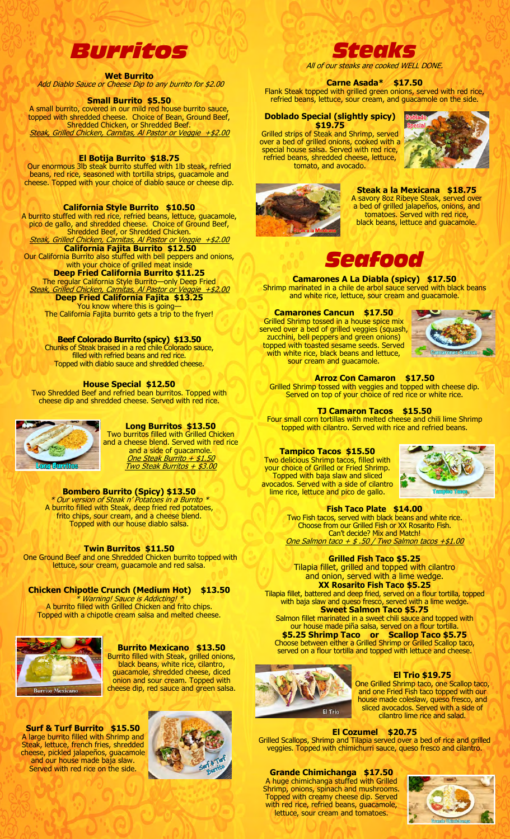

**Wet Burrito**  Add Diablo Sauce or Cheese Dip to any burrito for \$2.00

#### **Small Burrito \$5.50**

A small burrito, covered in our mild red house burrito sauce, topped with shredded cheese. Choice of Bean, Ground Beef, Shredded Chicken, or Shredded Beef. Steak, Grilled Chicken, Carnitas, Al Pastor or Veggie +\$2.00

#### **El Botija Burrito \$18.75**

Our enormous 3lb steak burrito stuffed with 1lb steak, refried beans, red rice, seasoned with tortilla strips, guacamole and cheese. Topped with your choice of diablo sauce or cheese dip.

**California Style Burrito \$10.50** 

A burrito stuffed with red rice, refried beans, lettuce, guacamole, pico de gallo, and shredded cheese. Choice of Ground Beef, Shredded Beef, or Shredded Chicken. Steak, Grilled Chicken, Carnitas, Al Pastor or Veggie **California Fajita Burrito \$12.50**  Our California Burrito also stuffed with bell peppers and onions, with your choice of grilled meat inside **Deep Fried California Burrito \$11.25**  The regular California Style Burrito—only Deep Fried Steak, Grilled Chicken, Carnitas, Al Pastor or Veggie +\$2.00

**Deep Fried California Fajita \$13.25**  You know where this is going—

The California Fajita burrito gets a trip to the fryer!

**Beef Colorado Burrito (spicy) \$13.50**  Chunks of Steak braised in a red chile Colorado sauce, filled with refried beans and red rice. Topped with diablo sauce and shredded cheese.

## **House Special \$12.50**

Two Shredded Beef and refried bean burritos. Topped with cheese dip and shredded cheese. Served with red rice.



#### **Long Burritos \$13.50**

Two burritos filled with Grilled Chicken and a cheese blend. Served with red rice and a side of guacamole. One Steak Burrito + \$1.50 Two Steak Burritos + \$3.00

#### **Bombero Burrito (Spicy) \$13.50**

\* Our version of Steak n' Potatoes in a Burrito \* A burrito filled with Steak, deep fried red potatoes, frito chips, sour cream, and a cheese blend. Topped with our house diablo salsa.

#### **Twin Burritos \$11.50**

 One Ground Beef and one Shredded Chicken burrito topped with lettuce, sour cream, guacamole and red salsa.

#### **Chicken Chipotle Crunch (Medium Hot) \$13.50**

\* Warning! Sauce is Addicting! \* A burrito filled with Grilled Chicken and frito chips. Topped with a chipotle cream salsa and melted cheese.



#### **Burrito Mexicano \$13.50**  Burrito filled with Steak, grilled onions, black beans, white rice, cilantro, guacamole, shredded cheese, diced onion and sour cream. Topped with cheese dip, red sauce and green salsa.

**Surf & Turf Burrito \$15.50**  A large burrito filled with Shrimp and Steak, lettuce, french fries, shredded cheese, pickled jalapeños, guacamole and our house made baja slaw. Served with red rice on the side.





All of our steaks are cooked WELL DONE.

# **Carne Asada\* \$17.50**

Flank Steak topped with grilled green onions, served with red rice, refried beans, lettuce, sour cream, and guacamole on the side.

#### **Doblado Special (slightly spicy) \$19.75**

Grilled strips of Steak and Shrimp, served over a bed of grilled onions, cooked with a special house salsa. Served with red rice, refried beans, shredded cheese, lettuce, tomato, and avocado.





**Steak a la Mexicana \$18.75**  A savory 8oz Ribeye Steak, served over a bed of grilled jalapeños, onions, and tomatoes. Served with red rice, black beans, lettuce and guacamole.



**Camarones A La Diabla (spicy) \$17.50** Shrimp marinated in a chile de arbol sauce served with black beans and white rice, lettuce, sour cream and guacamole.

#### **Camarones Cancun \$17.50**  Grilled Shrimp tossed in a house spice mix

served over a bed of grilled veggies (squash, zucchini, bell peppers and green onions) topped with toasted sesame seeds. Served with white rice, black beans and lettuce, sour cream and quacamole.



#### **Arroz Con Camaron \$17.50**

Grilled Shrimp tossed with veggies and topped with cheese dip. Served on top of your choice of red rice or white rice.

#### **TJ Camaron Tacos \$15.50**

Four small corn tortillas with melted cheese and chili lime Shrimp topped with cilantro. Served with rice and refried beans.

# **Tampico Tacos \$15.50**

Two delicious Shrimp tacos, filled with your choice of Grilled or Fried Shrimp. Topped with baja slaw and sliced avocados. Served with a side of cilantro lime rice, lettuce and pico de gallo.



#### **Fish Taco Plate \$14.00**

Two Fish tacos, served with black beans and white rice. Choose from our Grilled Fish or XX Rosarito Fish. Can't decide? Mix and Match! One Salmon taco + \$ .50 / Two Salmon tacos +\$1.00

#### **Grilled Fish Taco \$5.25**



Tilapia fillet, battered and deep fried, served on a flour tortilla, topped with baja slaw and queso fresco, served with a lime wedge. **Sweet Salmon Taco \$5.75** 

Salmon fillet marinated in a sweet chili sauce and topped with our house made piña salsa, served on a flour tortilla. **\$5.25 Shrimp Taco or Scallop Taco \$5.75** 

Choose between either a Grilled Shrimp or Grilled Scallop taco, served on a flour tortilla and topped with lettuce and cheese.



## **El Trio \$19.75**

One Grilled Shrimp taco, one Scallop taco, and one Fried Fish taco topped with our house made coleslaw, queso fresco, and sliced avocados. Served with a side of cilantro lime rice and salad.

#### **El Cozumel \$20.75**

Grilled Scallops, Shrimp and Tilapia served over a bed of rice and grilled veggies. Topped with chimichurri sauce, queso fresco and cilantro.

# **Grande Chimichanga \$17.50**

A huge chimichanga stuffed with Grilled Shrimp, onions, spinach and mushrooms. Topped with creamy cheese dip. Served with red rice, refried beans, guacamole, lettuce, sour cream and tomatoes.

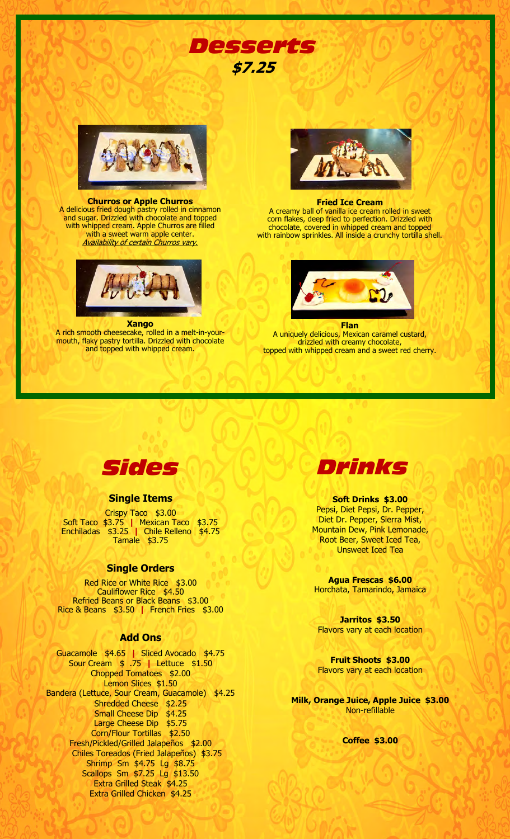

#### **Churros or Apple Churros**  A delicious fried dough pastry rolled in cinnamon and sugar. Drizzled with chocolate and topped with whipped cream. Apple Churros are filled with a sweet warm apple center. **Availability of certain Churros vary.**



#### **Xango**

A rich smooth cheesecake, rolled in a melt-in-yourmouth, flaky pastry tortilla. Drizzled with chocolate and topped with whipped cream.



*Desserts*

**\$7.25** 

#### **Fried Ice Cream**

A creamy ball of vanilla ice cream rolled in sweet corn flakes, deep fried to perfection. Drizzled with chocolate, covered in whipped cream and topped with rainbow sprinkles. All inside a crunchy tortilla shell.



**Flan**  A uniquely delicious, Mexican caramel custard, drizzled with creamy chocolate, topped with whipped cream and a sweet red cherry.



# **Single Items**

Crispy Taco \$3.00 Soft Taco \$3.75 **|** Mexican Taco \$3.75 Enchiladas \$3.25 **|** Chile Relleno \$4.75 Tamale \$3.75

## **Single Orders**

Red Rice or White Rice \$3.00 Cauliflower Rice \$4.50 Refried Beans or Black Beans \$3.00 Rice & Beans \$3.50 **|** French Fries \$3.00

## **Add Ons**

Guacamole \$4.65 **|** Sliced Avocado \$4.75 Sour Cream \$ .75 **|** Lettuce \$1.50 Chopped Tomatoes \$2.00 Lemon Slices \$1.50 Bandera (Lettuce, Sour Cream, Guacamole) \$4.25 Shredded Cheese \$2.25 Small Cheese Dip \$4.25 Large Cheese Dip \$5.75 Corn/Flour Tortillas \$2.50 Fresh/Pickled/Grilled Jalapeños \$2.00 Chiles Toreados (Fried Jalapeños) \$3.75 Shrimp Sm \$4.75 Lg \$8.75 Scallops Sm \$7.25 Lg \$13.50 Extra Grilled Steak \$4.25 Extra Grilled Chicken \$4.25



#### **Soft Drinks \$3.00**  Pepsi, Diet Pepsi, Dr. Pepper, Diet Dr. Pepper, Sierra Mist, Mountain Dew, Pink Lemonade, Root Beer, Sweet Iced Tea, Unsweet Iced Tea

**Agua Frescas \$6.00**  Horchata, Tamarindo, Jamaica

**Jarritos \$3.50**  Flavors vary at each location

**Fruit Shoots \$3.00**  Flavors vary at each location

**Milk, Orange Juice, Apple Juice \$3.00**  Non-refillable

**Coffee \$3.00**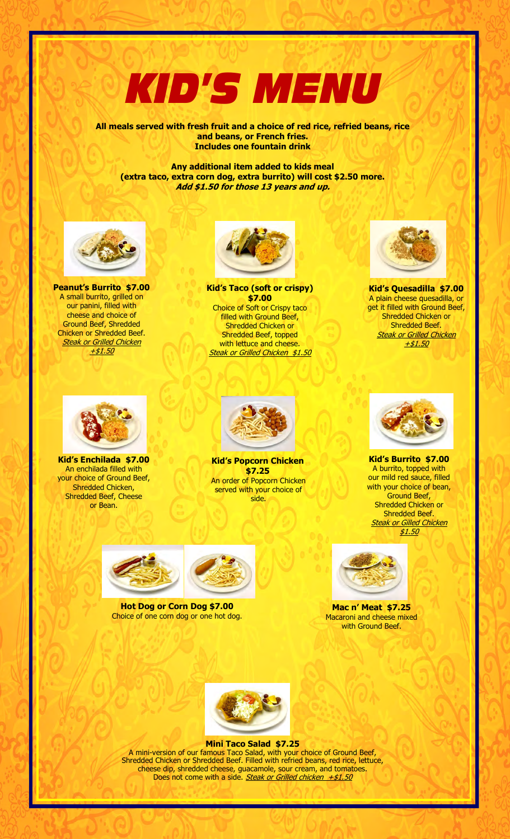# *KID'S MENU*

**All meals served with fresh fruit and a choice of red rice, refried beans, rice and beans, or French fries. Includes one fountain drink** 

**Any additional item added to kids meal (extra taco, extra corn dog, extra burrito) will cost \$2.50 more. Add \$1.50 for those 13 years and up.** 



**Peanut's Burrito \$7.00** A small burrito, grilled on our panini, filled with cheese and choice of Ground Beef, Shredded Chicken or Shredded Beef. **Steak or Grilled Chicken** +\$1.50



**Kid's Taco (soft or crispy) \$7.00**  Choice of Soft or Crispy taco filled with Ground Beef, Shredded Chicken or Shredded Beef, topped with lettuce and cheese. Steak or Grilled Chicken \$1.50



**Kid's Quesadilla \$7.00** A plain cheese quesadilla, or get it filled with Ground Beef, Shredded Chicken or Shredded Beef. <mark>Steak or Grilled Chicken</mark> +\$1.50



**Kid's Enchilada \$7.00** An enchilada filled with your choice of Ground Beef, Shredded Chicken, Shredded Beef, Cheese or Bean.



**Kid's Popcorn Chicken \$7.25**  An order of Popcorn Chicken served with your choice of side.



**Kid's Burrito \$7.00** A burrito, topped with our mild red sauce, filled with your choice of bean, Ground Beef, Shredded Chicken or Shredded Beef. **Steak or Gilled Chicken** \$1.50





**Hot Dog or Corn Dog \$7.00**  Choice of one corn dog or one hot dog.



**Mac n' Meat \$7.25** Macaroni and cheese mixed with Ground Beef.



**Mini Taco Salad \$7.25**  A mini-version of our famous Taco Salad, with your choice of Ground Beef, Shredded Chicken or Shredded Beef. Filled with refried beans, red rice, lettuce, cheese dip, shredded cheese, guacamole, sour cream, and tomatoes. Does not come with a side. Steak or Grilled chicken  $+ $1.50$